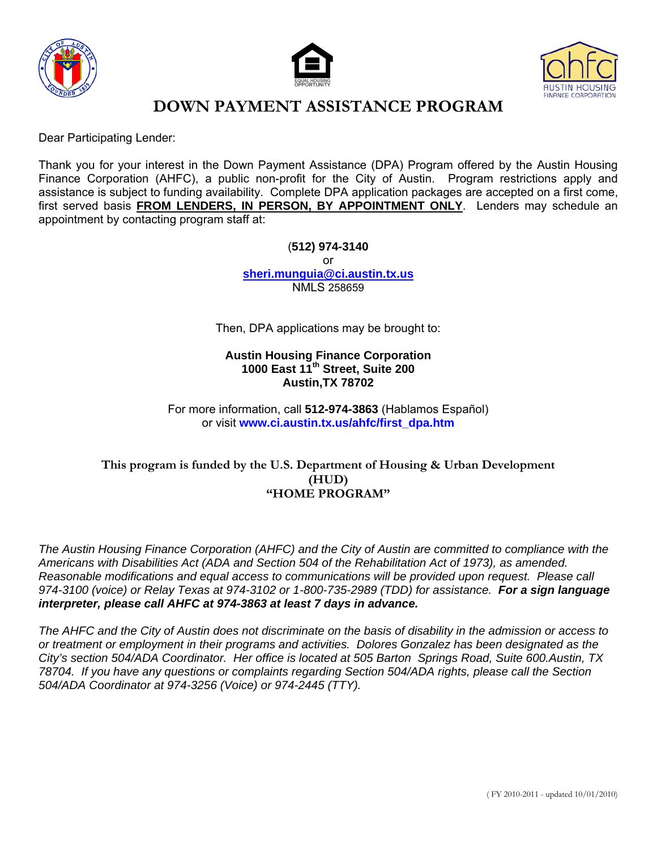





Dear Participating Lender:

Thank you for your interest in the Down Payment Assistance (DPA) Program offered by the Austin Housing Finance Corporation (AHFC), a public non-profit for the City of Austin. Program restrictions apply and assistance is subject to funding availability. Complete DPA application packages are accepted on a first come, first served basis **FROM LENDERS, IN PERSON, BY APPOINTMENT ONLY**. Lenders may schedule an appointment by contacting program staff at:

> (**512) 974-3140** or **[sheri.munguia@ci.austin.tx.us](mailto:sheri.munguia@ci.austin.tx.us)** NMLS 258659

Then, DPA applications may be brought to:

#### **Austin Housing Finance Corporation 1000 East 11th Street, Suite 200 Austin,TX 78702**

For more information, call **512-974-3863** (Hablamos Español) or visit **www.ci.austin.tx.us/ahfc/first\_dpa.htm**

#### **This program is funded by the U.S. Department of Housing & Urban Development (HUD) "HOME PROGRAM"**

*The Austin Housing Finance Corporation (AHFC) and the City of Austin are committed to compliance with the Americans with Disabilities Act (ADA and Section 504 of the Rehabilitation Act of 1973), as amended. Reasonable modifications and equal access to communications will be provided upon request. Please call 974-3100 (voice) or Relay Texas at 974-3102 or 1-800-735-2989 (TDD) for assistance. For a sign language interpreter, please call AHFC at 974-3863 at least 7 days in advance.* 

*The AHFC and the City of Austin does not discriminate on the basis of disability in the admission or access to or treatment or employment in their programs and activities. Dolores Gonzalez has been designated as the City's section 504/ADA Coordinator. Her office is located at 505 Barton Springs Road, Suite 600.Austin, TX 78704. If you have any questions or complaints regarding Section 504/ADA rights, please call the Section 504/ADA Coordinator at 974-3256 (Voice) or 974-2445 (TTY).*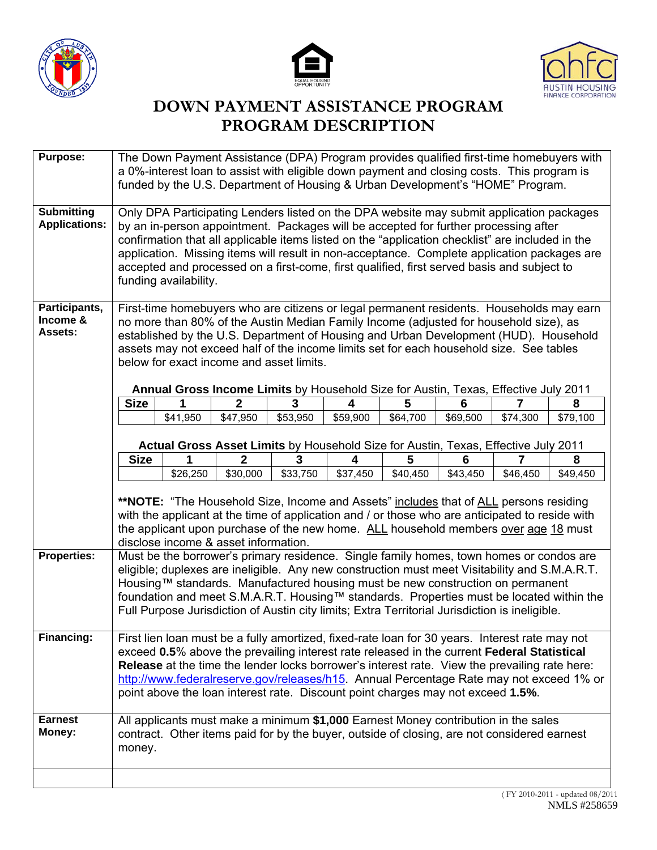





# **DOWN PAYMENT ASSISTANCE PROGRAM PROGRAM DESCRIPTION**

| <b>Purpose:</b>                             | The Down Payment Assistance (DPA) Program provides qualified first-time homebuyers with<br>a 0%-interest loan to assist with eligible down payment and closing costs. This program is<br>funded by the U.S. Department of Housing & Urban Development's "HOME" Program.                                                                                                                                                                                                                                   |                                                                                                                                                                                   |              |          |          |          |          |          |          |
|---------------------------------------------|-----------------------------------------------------------------------------------------------------------------------------------------------------------------------------------------------------------------------------------------------------------------------------------------------------------------------------------------------------------------------------------------------------------------------------------------------------------------------------------------------------------|-----------------------------------------------------------------------------------------------------------------------------------------------------------------------------------|--------------|----------|----------|----------|----------|----------|----------|
| <b>Submitting</b><br><b>Applications:</b>   | Only DPA Participating Lenders listed on the DPA website may submit application packages<br>by an in-person appointment. Packages will be accepted for further processing after<br>confirmation that all applicable items listed on the "application checklist" are included in the<br>application. Missing items will result in non-acceptance. Complete application packages are<br>accepted and processed on a first-come, first qualified, first served basis and subject to<br>funding availability. |                                                                                                                                                                                   |              |          |          |          |          |          |          |
| Participants,<br>Income &<br><b>Assets:</b> | First-time homebuyers who are citizens or legal permanent residents. Households may earn<br>no more than 80% of the Austin Median Family Income (adjusted for household size), as<br>established by the U.S. Department of Housing and Urban Development (HUD). Household<br>assets may not exceed half of the income limits set for each household size. See tables<br>below for exact income and asset limits.<br>Annual Gross Income Limits by Household Size for Austin, Texas, Effective July 2011   |                                                                                                                                                                                   |              |          |          |          |          |          |          |
|                                             | <b>Size</b>                                                                                                                                                                                                                                                                                                                                                                                                                                                                                               | 1                                                                                                                                                                                 | $\mathbf{2}$ | 3        | 4        | 5        | 6        |          | 8        |
|                                             |                                                                                                                                                                                                                                                                                                                                                                                                                                                                                                           | \$41,950                                                                                                                                                                          | \$47,950     | \$53,950 | \$59,900 | \$64,700 | \$69,500 | \$74,300 | \$79,100 |
|                                             |                                                                                                                                                                                                                                                                                                                                                                                                                                                                                                           | Actual Gross Asset Limits by Household Size for Austin, Texas, Effective July 2011                                                                                                |              |          |          |          |          |          |          |
|                                             | <b>Size</b>                                                                                                                                                                                                                                                                                                                                                                                                                                                                                               | 1                                                                                                                                                                                 | $\mathbf 2$  | 3        | 4        | 5        | 6        | 7        | 8        |
|                                             |                                                                                                                                                                                                                                                                                                                                                                                                                                                                                                           | \$26,250                                                                                                                                                                          | \$30,000     | \$33,750 | \$37,450 | \$40,450 | \$43,450 | \$46,450 | \$49,450 |
|                                             | **NOTE: "The Household Size, Income and Assets" includes that of ALL persons residing<br>with the applicant at the time of application and / or those who are anticipated to reside with<br>the applicant upon purchase of the new home. ALL household members over age 18 must<br>disclose income & asset information.                                                                                                                                                                                   |                                                                                                                                                                                   |              |          |          |          |          |          |          |
| <b>Properties:</b>                          | Must be the borrower's primary residence. Single family homes, town homes or condos are<br>eligible; duplexes are ineligible. Any new construction must meet Visitability and S.M.A.R.T.<br>Housing™ standards. Manufactured housing must be new construction on permanent<br>foundation and meet S.M.A.R.T. Housing™ standards. Properties must be located within the<br>Full Purpose Jurisdiction of Austin city limits; Extra Territorial Jurisdiction is ineligible.                                  |                                                                                                                                                                                   |              |          |          |          |          |          |          |
| Financing:                                  | First lien loan must be a fully amortized, fixed-rate loan for 30 years. Interest rate may not<br>exceed 0.5% above the prevailing interest rate released in the current Federal Statistical<br>Release at the time the lender locks borrower's interest rate. View the prevailing rate here:<br>http://www.federalreserve.gov/releases/h15. Annual Percentage Rate may not exceed 1% or<br>point above the loan interest rate. Discount point charges may not exceed 1.5%.                               |                                                                                                                                                                                   |              |          |          |          |          |          |          |
| <b>Earnest</b><br>Money:                    | money.                                                                                                                                                                                                                                                                                                                                                                                                                                                                                                    | All applicants must make a minimum \$1,000 Earnest Money contribution in the sales<br>contract. Other items paid for by the buyer, outside of closing, are not considered earnest |              |          |          |          |          |          |          |
|                                             |                                                                                                                                                                                                                                                                                                                                                                                                                                                                                                           |                                                                                                                                                                                   |              |          |          |          |          |          |          |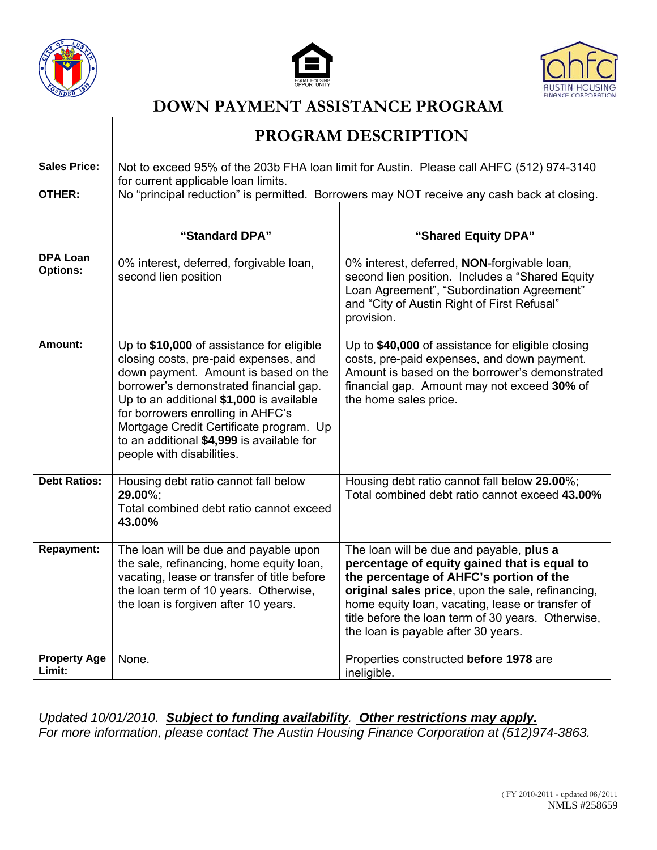

T





┑

## **DOWN PAYMENT ASSISTANCE PROGRAM**

|                               |                                                                                                                                                                                                                                                                                                                                                                            | PROGRAM DESCRIPTION                                                                                                                                                                                                                                                                                                                       |
|-------------------------------|----------------------------------------------------------------------------------------------------------------------------------------------------------------------------------------------------------------------------------------------------------------------------------------------------------------------------------------------------------------------------|-------------------------------------------------------------------------------------------------------------------------------------------------------------------------------------------------------------------------------------------------------------------------------------------------------------------------------------------|
| <b>Sales Price:</b>           | for current applicable loan limits.                                                                                                                                                                                                                                                                                                                                        | Not to exceed 95% of the 203b FHA loan limit for Austin. Please call AHFC (512) 974-3140                                                                                                                                                                                                                                                  |
| <b>OTHER:</b>                 |                                                                                                                                                                                                                                                                                                                                                                            | No "principal reduction" is permitted. Borrowers may NOT receive any cash back at closing.                                                                                                                                                                                                                                                |
| <b>DPA Loan</b>               | "Standard DPA"                                                                                                                                                                                                                                                                                                                                                             | "Shared Equity DPA"                                                                                                                                                                                                                                                                                                                       |
| <b>Options:</b>               | 0% interest, deferred, forgivable loan,<br>second lien position                                                                                                                                                                                                                                                                                                            | 0% interest, deferred, NON-forgivable loan,<br>second lien position. Includes a "Shared Equity<br>Loan Agreement", "Subordination Agreement"<br>and "City of Austin Right of First Refusal"<br>provision.                                                                                                                                 |
| Amount:                       | Up to \$10,000 of assistance for eligible<br>closing costs, pre-paid expenses, and<br>down payment. Amount is based on the<br>borrower's demonstrated financial gap.<br>Up to an additional \$1,000 is available<br>for borrowers enrolling in AHFC's<br>Mortgage Credit Certificate program. Up<br>to an additional \$4,999 is available for<br>people with disabilities. | Up to \$40,000 of assistance for eligible closing<br>costs, pre-paid expenses, and down payment.<br>Amount is based on the borrower's demonstrated<br>financial gap. Amount may not exceed 30% of<br>the home sales price.                                                                                                                |
| <b>Debt Ratios:</b>           | Housing debt ratio cannot fall below<br>29.00%;<br>Total combined debt ratio cannot exceed<br>43.00%                                                                                                                                                                                                                                                                       | Housing debt ratio cannot fall below 29.00%;<br>Total combined debt ratio cannot exceed 43.00%                                                                                                                                                                                                                                            |
| <b>Repayment:</b>             | The loan will be due and payable upon<br>the sale, refinancing, home equity loan,<br>vacating, lease or transfer of title before<br>the loan term of 10 years. Otherwise,<br>the loan is forgiven after 10 years.                                                                                                                                                          | The loan will be due and payable, plus a<br>percentage of equity gained that is equal to<br>the percentage of AHFC's portion of the<br>original sales price, upon the sale, refinancing,<br>home equity loan, vacating, lease or transfer of<br>title before the loan term of 30 years. Otherwise,<br>the loan is payable after 30 years. |
| <b>Property Age</b><br>Limit: | None.                                                                                                                                                                                                                                                                                                                                                                      | Properties constructed before 1978 are<br>ineligible.                                                                                                                                                                                                                                                                                     |

*Updated 10/01/2010. Subject to funding availability. Other restrictions may apply. For more information, please contact The Austin Housing Finance Corporation at (512)974-3863.*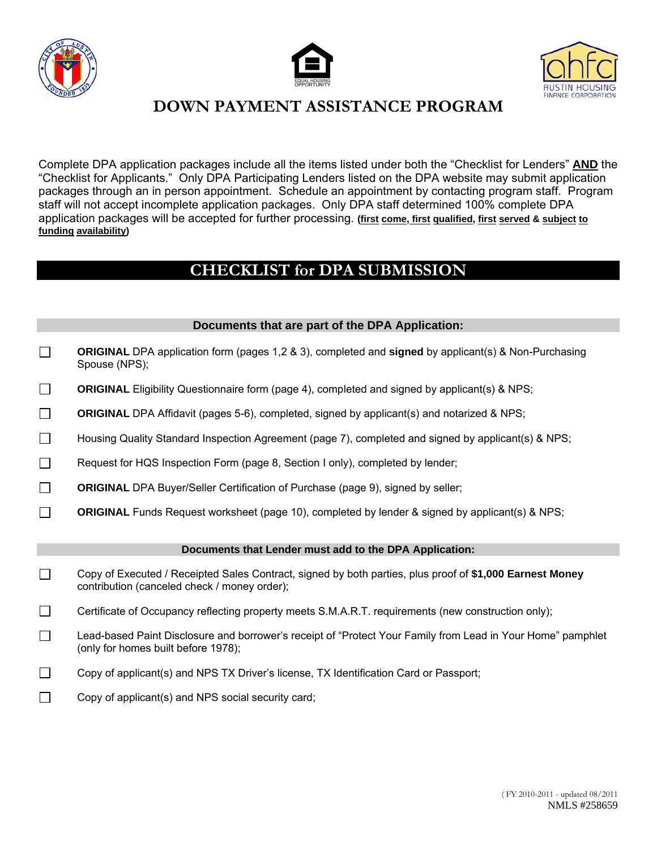





Complete DPA application packages include all the items listed under both the "Checklist for Lenders" **AND** the "Checklist for Applicants." Only DPA Participating Lenders listed on the DPA website may submit application packages through an in person appointment. Schedule an appointment by contacting program staff. Program staff will not accept incomplete application packages. Only DPA staff determined 100% complete DPA application packages will be accepted for further processing. **(first come, first qualified, first served & subject to funding availability)** 

### **CHECKLIST for DPA SUBMISSION**

#### **Documents that are part of the DPA Application:**

- $\Box$ **ORIGINAL** DPA application form (pages 1,2 & 3), completed and **signed** by applicant(s) & Non-Purchasing Spouse (NPS);
- $\Box$ **ORIGINAL** Eligibility Questionnaire form (page 4), completed and signed by applicant(s) & NPS;
- $\Box$ **ORIGINAL** DPA Affidavit (pages 5-6), completed, signed by applicant(s) and notarized & NPS;
- Housing Quality Standard Inspection Agreement (page 7), completed and signed by applicant(s) & NPS;
- Request for HQS Inspection Form (page 8, Section I only), completed by lender;
- $\Box$ **ORIGINAL** DPA Buyer/Seller Certification of Purchase (page 9), signed by seller;
- $\Box$ **ORIGINAL** Funds Request worksheet (page 10), completed by lender & signed by applicant(s) & NPS;

#### **Documents that Lender must add to the DPA Application:**

- Copy of Executed / Receipted Sales Contract, signed by both parties, plus proof of **\$1,000 Earnest Money** contribution (canceled check / money order);
- Certificate of Occupancy reflecting property meets S.M.A.R.T. requirements (new construction only);
- Lead-based Paint Disclosure and borrower's receipt of "Protect Your Family from Lead in Your Home" pamphlet (only for homes built before 1978);
- Copy of applicant(s) and NPS TX Driver's license, TX Identification Card or Passport;
- $\Box$  Copy of applicant(s) and NPS social security card;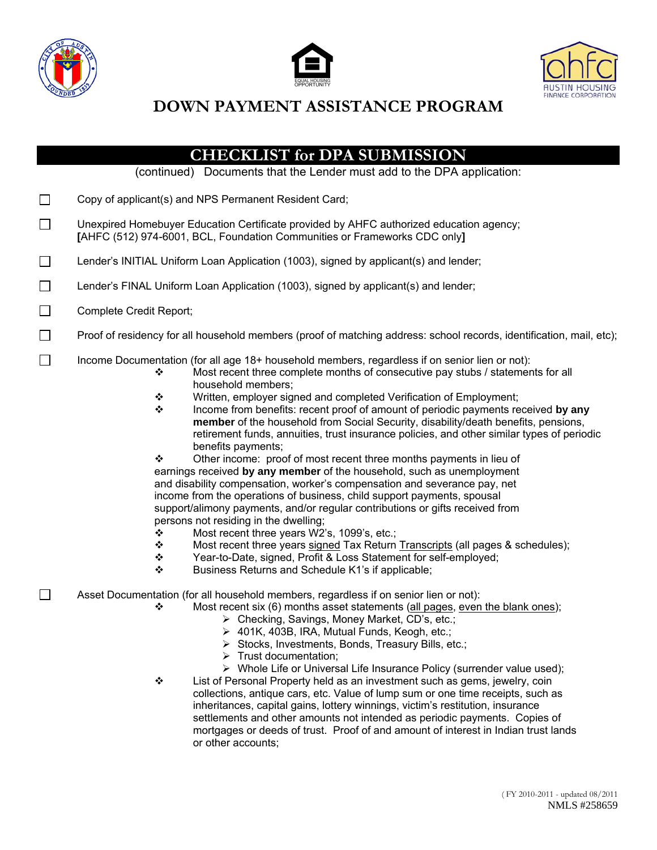





|        | <b>CHECKLIST for DPA SUBMISSION</b>                                                                                                                                                                                                                                                                                                                                                                                                                                                                                                                                                                                                                                                                                                                                                                                                                                                                                                                                                                                                                                                                                                                                                                                                                                                                               |  |  |  |  |  |
|--------|-------------------------------------------------------------------------------------------------------------------------------------------------------------------------------------------------------------------------------------------------------------------------------------------------------------------------------------------------------------------------------------------------------------------------------------------------------------------------------------------------------------------------------------------------------------------------------------------------------------------------------------------------------------------------------------------------------------------------------------------------------------------------------------------------------------------------------------------------------------------------------------------------------------------------------------------------------------------------------------------------------------------------------------------------------------------------------------------------------------------------------------------------------------------------------------------------------------------------------------------------------------------------------------------------------------------|--|--|--|--|--|
|        | (continued) Documents that the Lender must add to the DPA application:                                                                                                                                                                                                                                                                                                                                                                                                                                                                                                                                                                                                                                                                                                                                                                                                                                                                                                                                                                                                                                                                                                                                                                                                                                            |  |  |  |  |  |
| $\Box$ | Copy of applicant(s) and NPS Permanent Resident Card;                                                                                                                                                                                                                                                                                                                                                                                                                                                                                                                                                                                                                                                                                                                                                                                                                                                                                                                                                                                                                                                                                                                                                                                                                                                             |  |  |  |  |  |
| $\Box$ | Unexpired Homebuyer Education Certificate provided by AHFC authorized education agency;<br>[AHFC (512) 974-6001, BCL, Foundation Communities or Frameworks CDC only]                                                                                                                                                                                                                                                                                                                                                                                                                                                                                                                                                                                                                                                                                                                                                                                                                                                                                                                                                                                                                                                                                                                                              |  |  |  |  |  |
| $\Box$ | Lender's INITIAL Uniform Loan Application (1003), signed by applicant(s) and lender;                                                                                                                                                                                                                                                                                                                                                                                                                                                                                                                                                                                                                                                                                                                                                                                                                                                                                                                                                                                                                                                                                                                                                                                                                              |  |  |  |  |  |
| $\Box$ | Lender's FINAL Uniform Loan Application (1003), signed by applicant(s) and lender;                                                                                                                                                                                                                                                                                                                                                                                                                                                                                                                                                                                                                                                                                                                                                                                                                                                                                                                                                                                                                                                                                                                                                                                                                                |  |  |  |  |  |
| $\Box$ | Complete Credit Report;                                                                                                                                                                                                                                                                                                                                                                                                                                                                                                                                                                                                                                                                                                                                                                                                                                                                                                                                                                                                                                                                                                                                                                                                                                                                                           |  |  |  |  |  |
| $\Box$ | Proof of residency for all household members (proof of matching address: school records, identification, mail, etc);                                                                                                                                                                                                                                                                                                                                                                                                                                                                                                                                                                                                                                                                                                                                                                                                                                                                                                                                                                                                                                                                                                                                                                                              |  |  |  |  |  |
| $\Box$ | Income Documentation (for all age 18+ household members, regardless if on senior lien or not):<br>Most recent three complete months of consecutive pay stubs / statements for all<br>❖<br>household members;<br>Written, employer signed and completed Verification of Employment;<br>❖<br>❖<br>Income from benefits: recent proof of amount of periodic payments received by any<br>member of the household from Social Security, disability/death benefits, pensions,<br>retirement funds, annuities, trust insurance policies, and other similar types of periodic<br>benefits payments;<br>❖<br>Other income: proof of most recent three months payments in lieu of<br>earnings received by any member of the household, such as unemployment<br>and disability compensation, worker's compensation and severance pay, net<br>income from the operations of business, child support payments, spousal<br>support/alimony payments, and/or regular contributions or gifts received from<br>persons not residing in the dwelling;<br>Most recent three years W2's, 1099's, etc.;<br>❖<br>Most recent three years signed Tax Return Transcripts (all pages & schedules);<br>❖<br>Year-to-Date, signed, Profit & Loss Statement for self-employed;<br>❖<br>❖<br>Business Returns and Schedule K1's if applicable; |  |  |  |  |  |
| $\Box$ | Asset Documentation (for all household members, regardless if on senior lien or not):<br>Most recent six (6) months asset statements (all pages, even the blank ones);<br>❖<br>> Checking, Savings, Money Market, CD's, etc.;<br>> 401K, 403B, IRA, Mutual Funds, Keogh, etc.;<br>> Stocks, Investments, Bonds, Treasury Bills, etc.;<br>$\triangleright$ Trust documentation;<br>> Whole Life or Universal Life Insurance Policy (surrender value used);<br>List of Personal Property held as an investment such as gems, jewelry, coin<br>❖<br>collections, antique cars, etc. Value of lump sum or one time receipts, such as<br>inheritances, capital gains, lottery winnings, victim's restitution, insurance<br>settlements and other amounts not intended as periodic payments. Copies of<br>mortgages or deeds of trust. Proof of and amount of interest in Indian trust lands<br>or other accounts;                                                                                                                                                                                                                                                                                                                                                                                                      |  |  |  |  |  |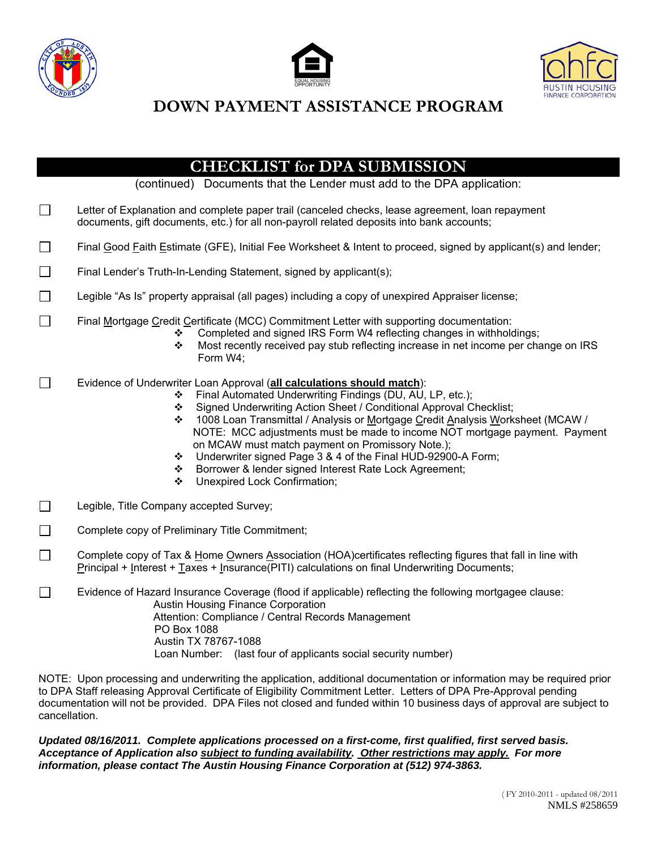





|         | <b>CHECKLIST for DPA SUBMISSION</b><br>(continued) Documents that the Lender must add to the DPA application:                                                                                                                                                                                                                                                                                                                                                                                                                                                                                                         |  |  |  |  |  |  |
|---------|-----------------------------------------------------------------------------------------------------------------------------------------------------------------------------------------------------------------------------------------------------------------------------------------------------------------------------------------------------------------------------------------------------------------------------------------------------------------------------------------------------------------------------------------------------------------------------------------------------------------------|--|--|--|--|--|--|
| $\Box$  | Letter of Explanation and complete paper trail (canceled checks, lease agreement, loan repayment<br>documents, gift documents, etc.) for all non-payroll related deposits into bank accounts;                                                                                                                                                                                                                                                                                                                                                                                                                         |  |  |  |  |  |  |
| $\Box$  | Final Good Faith Estimate (GFE), Initial Fee Worksheet & Intent to proceed, signed by applicant(s) and lender;                                                                                                                                                                                                                                                                                                                                                                                                                                                                                                        |  |  |  |  |  |  |
| $\Box$  | Final Lender's Truth-In-Lending Statement, signed by applicant(s);                                                                                                                                                                                                                                                                                                                                                                                                                                                                                                                                                    |  |  |  |  |  |  |
| $\Box$  | Legible "As Is" property appraisal (all pages) including a copy of unexpired Appraiser license;                                                                                                                                                                                                                                                                                                                                                                                                                                                                                                                       |  |  |  |  |  |  |
|         | Final Mortgage Credit Certificate (MCC) Commitment Letter with supporting documentation:<br>Completed and signed IRS Form W4 reflecting changes in withholdings;<br>❖<br>Most recently received pay stub reflecting increase in net income per change on IRS<br>❖<br>Form W4;                                                                                                                                                                                                                                                                                                                                         |  |  |  |  |  |  |
| $\perp$ | Evidence of Underwriter Loan Approval (all calculations should match):<br>Final Automated Underwriting Findings (DU, AU, LP, etc.);<br>❖<br>Signed Underwriting Action Sheet / Conditional Approval Checklist;<br>❖<br>1008 Loan Transmittal / Analysis or Mortgage Credit Analysis Worksheet (MCAW /<br>❖<br>NOTE: MCC adjustments must be made to income NOT mortgage payment. Payment<br>on MCAW must match payment on Promissory Note.);<br>Underwriter signed Page 3 & 4 of the Final HUD-92900-A Form;<br>❖<br>Borrower & lender signed Interest Rate Lock Agreement;<br>❖<br>Unexpired Lock Confirmation;<br>❖ |  |  |  |  |  |  |
| $\Box$  | Legible, Title Company accepted Survey;                                                                                                                                                                                                                                                                                                                                                                                                                                                                                                                                                                               |  |  |  |  |  |  |
| $\Box$  | Complete copy of Preliminary Title Commitment;                                                                                                                                                                                                                                                                                                                                                                                                                                                                                                                                                                        |  |  |  |  |  |  |
| $\Box$  | Complete copy of Tax & Home Owners Association (HOA)certificates reflecting figures that fall in line with<br>Principal + Interest + Taxes + Insurance(PITI) calculations on final Underwriting Documents;                                                                                                                                                                                                                                                                                                                                                                                                            |  |  |  |  |  |  |
| $\Box$  | Evidence of Hazard Insurance Coverage (flood if applicable) reflecting the following mortgagee clause:<br>Austin Housing Finance Corporation<br>Attention: Compliance / Central Records Management<br>PO Box 1088<br>Austin TX 78767-1088<br>Loan Number: (last four of applicants social security number)                                                                                                                                                                                                                                                                                                            |  |  |  |  |  |  |
|         |                                                                                                                                                                                                                                                                                                                                                                                                                                                                                                                                                                                                                       |  |  |  |  |  |  |

NOTE: Upon processing and underwriting the application, additional documentation or information may be required prior to DPA Staff releasing Approval Certificate of Eligibility Commitment Letter. Letters of DPA Pre-Approval pending documentation will not be provided. DPA Files not closed and funded within 10 business days of approval are subject to cancellation.

*Updated 08/16/2011. Complete applications processed on a first-come, first qualified, first served basis. Acceptance of Application also subject to funding availability. Other restrictions may apply. For more information, please contact The Austin Housing Finance Corporation at (512) 974-3863.*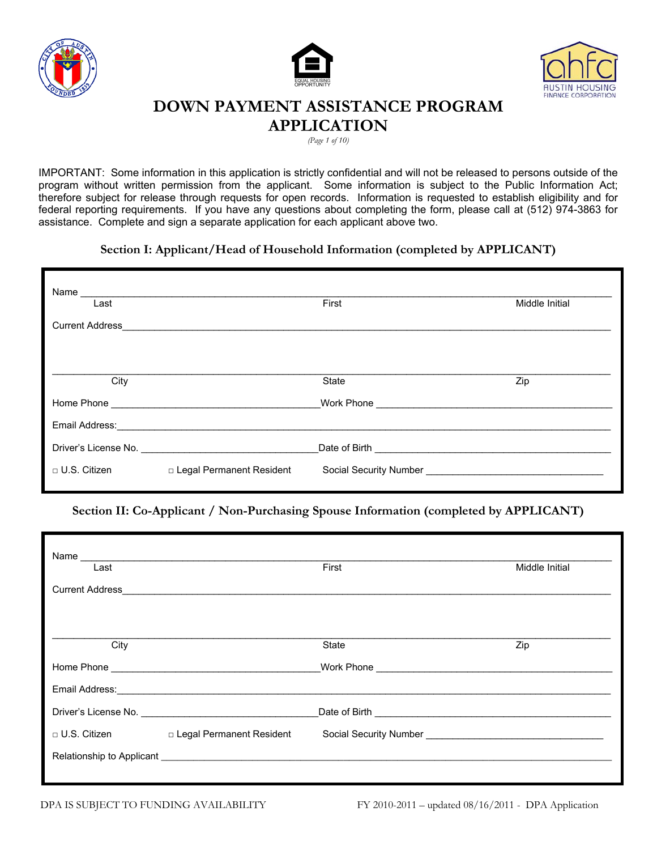





#### **DOWN PAYMENT ASSISTANCE PROGRAM APPLICATION**

*(Page 1 of 10)*

IMPORTANT: Some information in this application is strictly confidential and will not be released to persons outside of the program without written permission from the applicant. Some information is subject to the Public Information Act; therefore subject for release through requests for open records. Information is requested to establish eligibility and for federal reporting requirements. If you have any questions about completing the form, please call at (512) 974-3863 for assistance. Complete and sign a separate application for each applicant above two.

#### **Section I: Applicant/Head of Household Information (completed by APPLICANT)**

| Name                   |                                                                                                                                                                                                                                     |                                    |                |
|------------------------|-------------------------------------------------------------------------------------------------------------------------------------------------------------------------------------------------------------------------------------|------------------------------------|----------------|
| Last                   |                                                                                                                                                                                                                                     | First                              | Middle Initial |
| <b>Current Address</b> |                                                                                                                                                                                                                                     |                                    |                |
|                        |                                                                                                                                                                                                                                     |                                    |                |
|                        |                                                                                                                                                                                                                                     |                                    |                |
| City                   |                                                                                                                                                                                                                                     | State                              | Zip            |
|                        |                                                                                                                                                                                                                                     |                                    |                |
|                        | Email Address: Note that the state of the state of the state of the state of the state of the state of the state of the state of the state of the state of the state of the state of the state of the state of the state of th      |                                    |                |
|                        | Driver's License No. <b>Example 20</b> Service 19 and 20 Services 20 and 20 Services 20 and 20 Services 20 and 20 Services 20 and 20 Services 20 and 20 Services 20 and 20 Services 20 and 20 Services 20 and 20 Services 20 and 20 | Date of Birth <b>Exercise 2008</b> |                |
| $\Box$ U.S. Citizen    | □ Legal Permanent Resident                                                                                                                                                                                                          |                                    |                |

**Section II: Co-Applicant / Non-Purchasing Spouse Information (completed by APPLICANT)** 

| Name<br>Last           |                                                                                                                                                                                                                                | First | Middle Initial |
|------------------------|--------------------------------------------------------------------------------------------------------------------------------------------------------------------------------------------------------------------------------|-------|----------------|
| <b>Current Address</b> | <u> 1989 - Johann Stein, Amerikaansk politiker († 1908)</u>                                                                                                                                                                    |       |                |
|                        |                                                                                                                                                                                                                                |       |                |
| City                   |                                                                                                                                                                                                                                | State | Zip            |
|                        |                                                                                                                                                                                                                                |       |                |
|                        |                                                                                                                                                                                                                                |       |                |
|                        | Email Address: No. 2020 Contract of the Contract of the Contract of the Contract of the Contract of the Contract of the Contract of the Contract of the Contract of the Contract of the Contract of the Contract of the Contra |       |                |
|                        |                                                                                                                                                                                                                                |       |                |
|                        | □ U.S. Citizen □ Legal Permanent Resident                                                                                                                                                                                      |       |                |
|                        | Relationship to Applicant League and Contract and Contract and Contract and Contract and Contract and Contract and Contract and Contract and Contract and Contract and Contract and Contract and Contract and Contract and Con |       |                |
|                        |                                                                                                                                                                                                                                |       |                |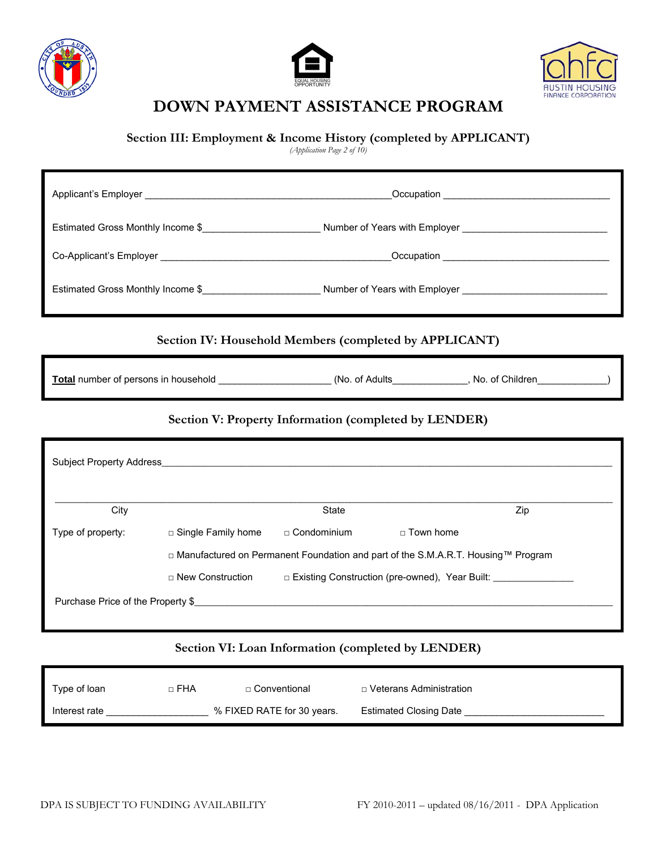





**Section III: Employment & Income History (completed by APPLICANT)**

*(Application Page 2 of 10)*

|                                                                                                                     | Section IV: Household Members (completed by APPLICANT)                                                                        |                                                                                    |             |                                                                    |  |
|---------------------------------------------------------------------------------------------------------------------|-------------------------------------------------------------------------------------------------------------------------------|------------------------------------------------------------------------------------|-------------|--------------------------------------------------------------------|--|
| Total number of persons in household ______________________(No. of Adults____________, No. of Children____________) |                                                                                                                               |                                                                                    |             |                                                                    |  |
|                                                                                                                     |                                                                                                                               | Section V: Property Information (completed by LENDER)                              |             |                                                                    |  |
|                                                                                                                     | Subject Property Address <b>Container and Container and Container and Container and Container and Container and Container</b> |                                                                                    |             |                                                                    |  |
|                                                                                                                     |                                                                                                                               |                                                                                    |             |                                                                    |  |
| City                                                                                                                |                                                                                                                               | <b>State</b>                                                                       |             | Zip                                                                |  |
| Type of property:                                                                                                   | □ Single Family home                                                                                                          | □ Condominium                                                                      | □ Town home |                                                                    |  |
|                                                                                                                     |                                                                                                                               | □ Manufactured on Permanent Foundation and part of the S.M.A.R.T. Housing™ Program |             |                                                                    |  |
|                                                                                                                     | □ New Construction                                                                                                            |                                                                                    |             | □ Existing Construction (pre-owned), Year Built: _________________ |  |
| Purchase Price of the Property \$                                                                                   |                                                                                                                               |                                                                                    |             |                                                                    |  |
|                                                                                                                     |                                                                                                                               |                                                                                    |             |                                                                    |  |
|                                                                                                                     | Section $V\Gamma$ Loan Information (completed by LENDER)                                                                      |                                                                                    |             |                                                                    |  |

#### **Section VI: Loan Information (completed by LENDER)**

| Type of loan  | □ FHA | □ Conventional             | □ Veterans Administration     |
|---------------|-------|----------------------------|-------------------------------|
| Interest rate |       | % FIXED RATE for 30 years. | <b>Estimated Closing Date</b> |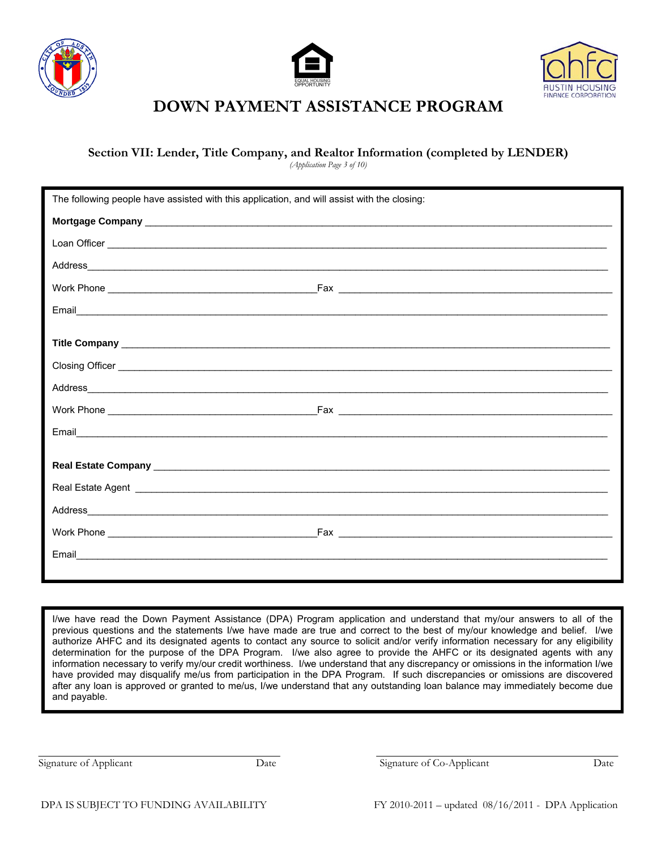





#### **Section VII: Lender, Title Company, and Realtor Information (completed by LENDER)**

*(Application Page 3 of 10)*

|                                                                                                                      | The following people have assisted with this application, and will assist with the closing:                   |  |  |  |
|----------------------------------------------------------------------------------------------------------------------|---------------------------------------------------------------------------------------------------------------|--|--|--|
| Mortgage Company Lawrence and the company of the company of the company of the company of the company of the company |                                                                                                               |  |  |  |
|                                                                                                                      |                                                                                                               |  |  |  |
|                                                                                                                      |                                                                                                               |  |  |  |
|                                                                                                                      |                                                                                                               |  |  |  |
|                                                                                                                      |                                                                                                               |  |  |  |
|                                                                                                                      |                                                                                                               |  |  |  |
|                                                                                                                      |                                                                                                               |  |  |  |
|                                                                                                                      | Closing Officer <u>example and the control of the control of the control of the control of the control of</u> |  |  |  |
|                                                                                                                      |                                                                                                               |  |  |  |
|                                                                                                                      |                                                                                                               |  |  |  |
|                                                                                                                      |                                                                                                               |  |  |  |
|                                                                                                                      |                                                                                                               |  |  |  |
|                                                                                                                      |                                                                                                               |  |  |  |
|                                                                                                                      |                                                                                                               |  |  |  |
|                                                                                                                      |                                                                                                               |  |  |  |
|                                                                                                                      |                                                                                                               |  |  |  |
|                                                                                                                      |                                                                                                               |  |  |  |
|                                                                                                                      |                                                                                                               |  |  |  |

I/we have read the Down Payment Assistance (DPA) Program application and understand that my/our answers to all of the previous questions and the statements I/we have made are true and correct to the best of my/our knowledge and belief. I/we authorize AHFC and its designated agents to contact any source to solicit and/or verify information necessary for any eligibility determination for the purpose of the DPA Program. I/we also agree to provide the AHFC or its designated agents with any information necessary to verify my/our credit worthiness. I/we understand that any discrepancy or omissions in the information I/we have provided may disqualify me/us from participation in the DPA Program. If such discrepancies or omissions are discovered after any loan is approved or granted to me/us, I/we understand that any outstanding loan balance may immediately become due and payable.

Signature of Applicant Date Date Signature of Co-Applicant Date Date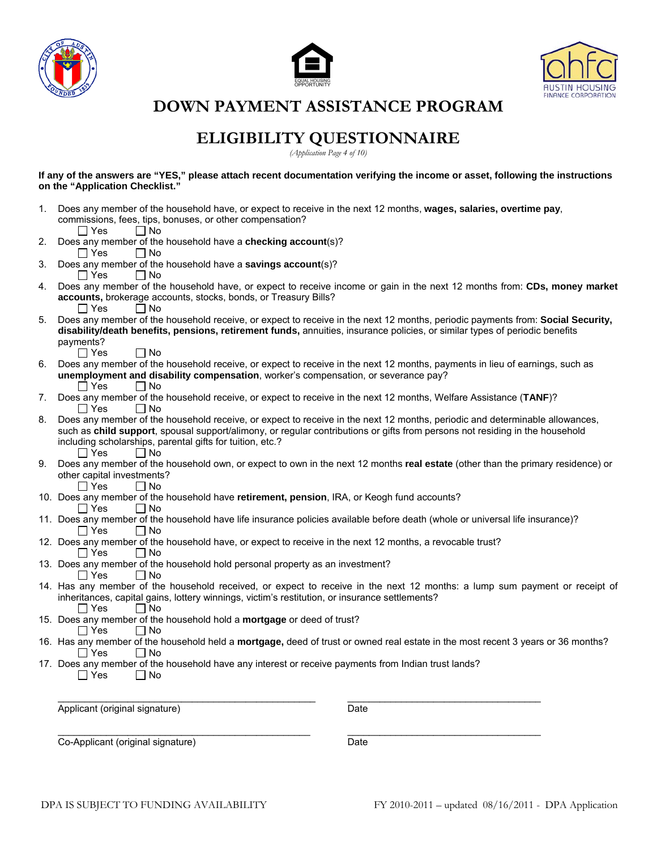





# **ELIGIBILITY QUESTIONNAIRE**

*(Application Page 4 of 10)* 

**If any of the answers are "YES," please attach recent documentation verifying the income or asset, following the instructions on the "Application Checklist."** 

|    | the Application Oncomio                                                                                                                                                                                           |
|----|-------------------------------------------------------------------------------------------------------------------------------------------------------------------------------------------------------------------|
| 1. | Does any member of the household have, or expect to receive in the next 12 months, wages, salaries, overtime pay,                                                                                                 |
|    | commissions, fees, tips, bonuses, or other compensation?<br>$\Box$ No<br>l IYes                                                                                                                                   |
| 2. | Does any member of the household have a checking account(s)?                                                                                                                                                      |
|    | $\Box$ Yes<br>$\Box$ No                                                                                                                                                                                           |
| 3. | Does any member of the household have a savings account(s)?<br>$\Box$ No<br>∣∣Yes                                                                                                                                 |
| 4. | Does any member of the household have, or expect to receive income or gain in the next 12 months from: CDs, money market                                                                                          |
|    | accounts, brokerage accounts, stocks, bonds, or Treasury Bills?<br>$\Box$ Yes<br>$\Box$ No                                                                                                                        |
| 5. | Does any member of the household receive, or expect to receive in the next 12 months, periodic payments from: Social Security,                                                                                    |
|    | disability/death benefits, pensions, retirement funds, annuities, insurance policies, or similar types of periodic benefits                                                                                       |
|    | payments?                                                                                                                                                                                                         |
|    | $\Box$ Yes<br>∣ No                                                                                                                                                                                                |
| 6. | Does any member of the household receive, or expect to receive in the next 12 months, payments in lieu of earnings, such as<br>unemployment and disability compensation, worker's compensation, or severance pay? |
|    | $\Box$ Yes<br>$\Box$ No                                                                                                                                                                                           |
| 7. | Does any member of the household receive, or expect to receive in the next 12 months, Welfare Assistance (TANF)?                                                                                                  |
|    | ∣ I Yes<br>$\Box$ No                                                                                                                                                                                              |
| 8. | Does any member of the household receive, or expect to receive in the next 12 months, periodic and determinable allowances,                                                                                       |
|    | such as child support, spousal support/alimony, or regular contributions or gifts from persons not residing in the household                                                                                      |
|    | including scholarships, parental gifts for tuition, etc.?<br>∏ Yes<br>$\Box$ No                                                                                                                                   |
| 9. | Does any member of the household own, or expect to own in the next 12 months real estate (other than the primary residence) or                                                                                    |
|    | other capital investments?                                                                                                                                                                                        |
|    | $\Box$ Yes<br>$\Box$ No                                                                                                                                                                                           |
|    | 10. Does any member of the household have retirement, pension, IRA, or Keogh fund accounts?                                                                                                                       |
|    | l IYes<br>l INo                                                                                                                                                                                                   |
|    | 11. Does any member of the household have life insurance policies available before death (whole or universal life insurance)?<br>$\Box$ No<br>l IYes                                                              |
|    | 12. Does any member of the household have, or expect to receive in the next 12 months, a revocable trust?                                                                                                         |
|    | l IYes<br>l INo                                                                                                                                                                                                   |
|    | 13. Does any member of the household hold personal property as an investment?<br>∣ I Yes                                                                                                                          |
|    | ∣ No<br>14. Has any member of the household received, or expect to receive in the next 12 months: a lump sum payment or receipt of                                                                                |
|    | inheritances, capital gains, lottery winnings, victim's restitution, or insurance settlements?                                                                                                                    |
|    | $\Box$ Yes<br>$\Box$ No                                                                                                                                                                                           |
|    | 15. Does any member of the household hold a mortgage or deed of trust?                                                                                                                                            |
|    | ∣ ∣ Yes<br>l I No                                                                                                                                                                                                 |
|    | 16. Has any member of the household held a <b>mortgage</b> , deed of trust or owned real estate in the most recent 3 years or 36 months?<br>l IYes<br>l INo                                                       |
|    | 17. Does any member of the household have any interest or receive payments from Indian trust lands?                                                                                                               |
|    | $\Box$ No<br>l IYes                                                                                                                                                                                               |
|    |                                                                                                                                                                                                                   |
|    |                                                                                                                                                                                                                   |
|    | Applicant (original signature)<br>Date                                                                                                                                                                            |
|    |                                                                                                                                                                                                                   |
|    | Co-Applicant (original signature)<br>Date                                                                                                                                                                         |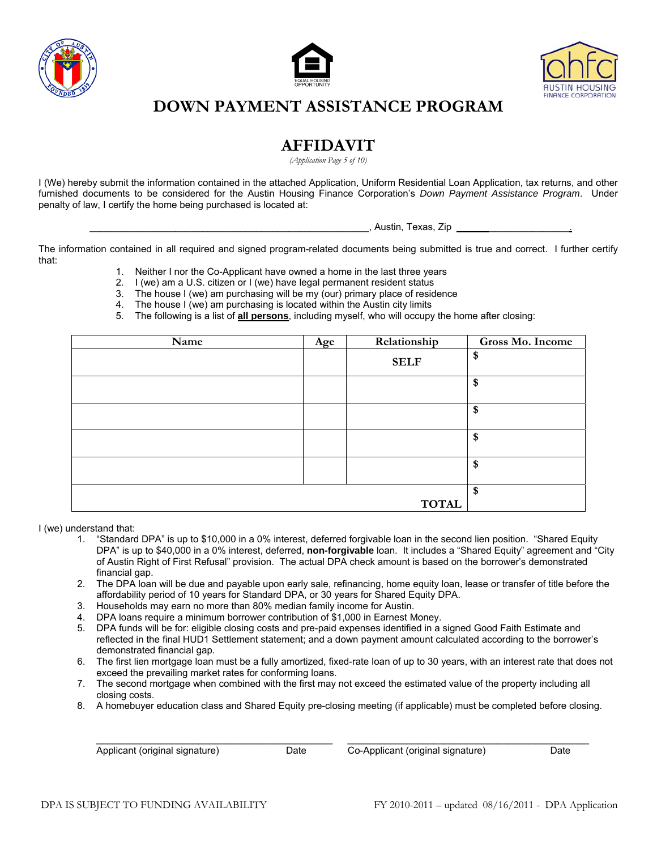





### **AFFIDAVIT**

*(Application Page 5 of 10)*

I (We) hereby submit the information contained in the attached Application, Uniform Residential Loan Application, tax returns, and other furnished documents to be considered for the Austin Housing Finance Corporation's *Down Payment Assistance Program*. Under penalty of law, I certify the home being purchased is located at:

. Austin, Texas, Zip

The information contained in all required and signed program-related documents being submitted is true and correct. I further certify that:

- 1. Neither I nor the Co-Applicant have owned a home in the last three years
- 2. I (we) am a U.S. citizen or I (we) have legal permanent resident status
- 3. The house I (we) am purchasing will be my (our) primary place of residence
- 4. The house I (we) am purchasing is located within the Austin city limits
- 5. The following is a list of **all persons**, including myself, who will occupy the home after closing:

| Name | Age | Relationship | Gross Mo. Income |
|------|-----|--------------|------------------|
|      |     | <b>SELF</b>  | \$               |
|      |     |              | \$               |
|      |     |              | \$               |
|      |     |              | \$               |
|      |     |              | \$               |
|      |     | <b>TOTAL</b> | \$               |

I (we) understand that:

- 1. "Standard DPA" is up to \$10,000 in a 0% interest, deferred forgivable loan in the second lien position. "Shared Equity DPA" is up to \$40,000 in a 0% interest, deferred, **non-forgivable** loan. It includes a "Shared Equity" agreement and "City of Austin Right of First Refusal" provision. The actual DPA check amount is based on the borrower's demonstrated financial gap.
- 2. The DPA loan will be due and payable upon early sale, refinancing, home equity loan, lease or transfer of title before the affordability period of 10 years for Standard DPA, or 30 years for Shared Equity DPA.
- 3. Households may earn no more than 80% median family income for Austin.
- 4. DPA loans require a minimum borrower contribution of \$1,000 in Earnest Money.
- 5. DPA funds will be for: eligible closing costs and pre-paid expenses identified in a signed Good Faith Estimate and reflected in the final HUD1 Settlement statement; and a down payment amount calculated according to the borrower's demonstrated financial gap.
- 6. The first lien mortgage loan must be a fully amortized, fixed-rate loan of up to 30 years, with an interest rate that does not exceed the prevailing market rates for conforming loans.
- 7. The second mortgage when combined with the first may not exceed the estimated value of the property including all closing costs.
- 8. A homebuyer education class and Shared Equity pre-closing meeting (if applicable) must be completed before closing.

\_\_\_\_\_\_\_\_\_\_\_\_\_\_\_\_\_\_\_\_\_\_\_\_\_\_\_\_\_\_\_\_\_\_\_\_\_\_\_\_\_\_\_\_ \_\_\_\_\_\_\_\_\_\_\_\_\_\_\_\_\_\_\_\_\_\_\_\_\_\_\_\_\_\_\_\_\_\_\_\_\_\_\_\_\_\_\_\_\_

Applicant (original signature) Date Co-Applicant (original signature) Date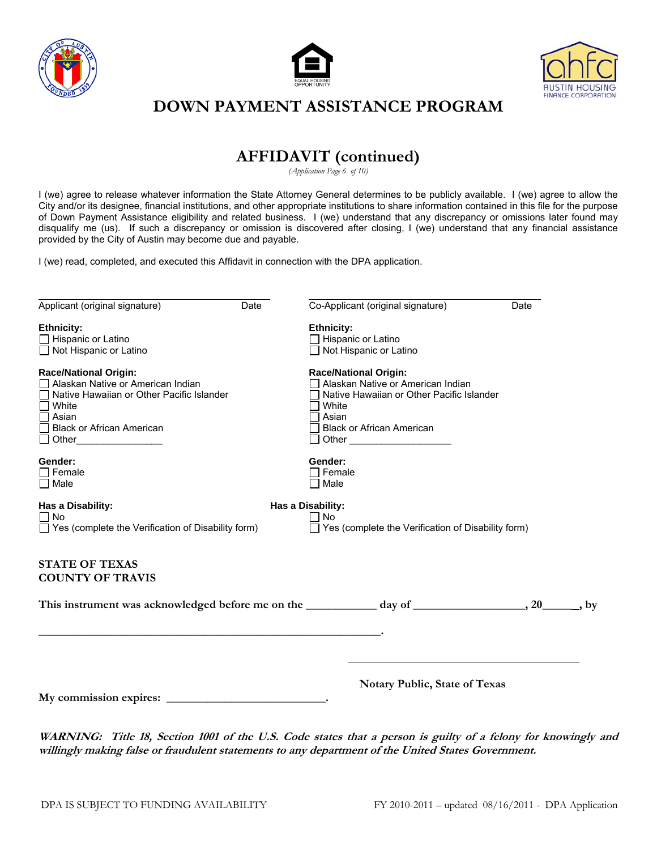





## **AFFIDAVIT (continued)**

*(Application Page 6 of 10)*

I (we) agree to release whatever information the State Attorney General determines to be publicly available. I (we) agree to allow the City and/or its designee, financial institutions, and other appropriate institutions to share information contained in this file for the purpose of Down Payment Assistance eligibility and related business. I (we) understand that any discrepancy or omissions later found may disqualify me (us). If such a discrepancy or omission is discovered after closing, I (we) understand that any financial assistance provided by the City of Austin may become due and payable.

I (we) read, completed, and executed this Affidavit in connection with the DPA application.

| Applicant (original signature)                                                                                                                                       | Date | Co-Applicant (original signature)                                                                                                                                    | Date |
|----------------------------------------------------------------------------------------------------------------------------------------------------------------------|------|----------------------------------------------------------------------------------------------------------------------------------------------------------------------|------|
| <b>Ethnicity:</b><br>Hispanic or Latino<br>□ Not Hispanic or Latino                                                                                                  |      | <b>Ethnicity:</b><br>Hispanic or Latino<br>$\Box$ Not Hispanic or Latino                                                                                             |      |
| <b>Race/National Origin:</b><br>Alaskan Native or American Indian<br>Native Hawaiian or Other Pacific Islander<br>White<br>Asian<br><b>Black or African American</b> |      | <b>Race/National Origin:</b><br>Alaskan Native or American Indian<br>Native Hawaiian or Other Pacific Islander<br>White<br>Asian<br><b>Black or African American</b> |      |
| Gender:<br>Female<br>□ Male                                                                                                                                          |      | Gender:<br>Female<br>Male                                                                                                                                            |      |
| Has a Disability:<br>$\Box$ No<br>$\Box$ Yes (complete the Verification of Disability form)                                                                          |      | Has a Disability:<br>∏ No<br>$\Box$ Yes (complete the Verification of Disability form)                                                                               |      |
| <b>STATE OF TEXAS</b><br><b>COUNTY OF TRAVIS</b>                                                                                                                     |      |                                                                                                                                                                      |      |
|                                                                                                                                                                      |      |                                                                                                                                                                      |      |
|                                                                                                                                                                      |      |                                                                                                                                                                      |      |
|                                                                                                                                                                      |      | <b>Notary Public, State of Texas</b>                                                                                                                                 |      |
|                                                                                                                                                                      |      |                                                                                                                                                                      |      |

**WARNING: Title 18, Section 1001 of the U.S. Code states that a person is guilty of a felony for knowingly and willingly making false or fraudulent statements to any department of the United States Government.**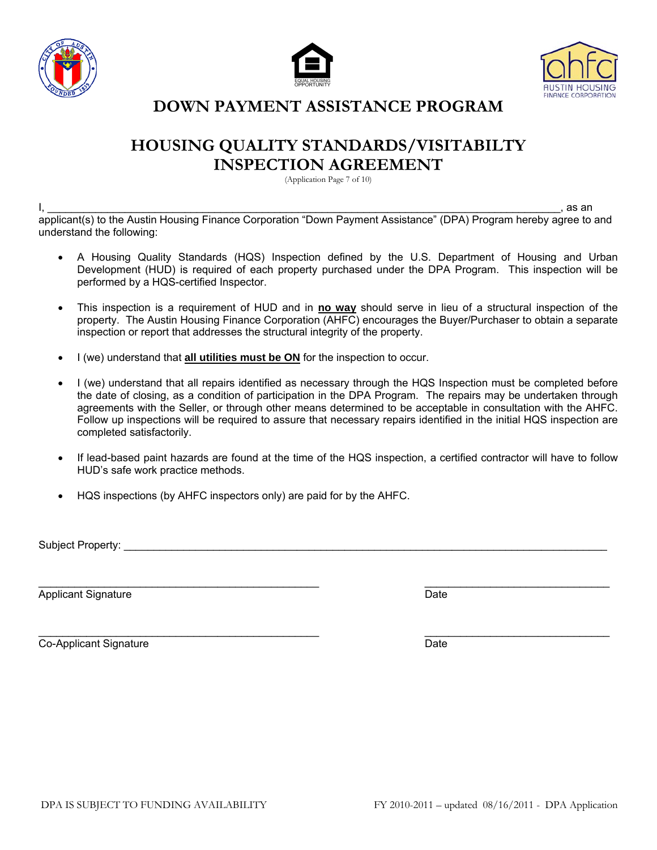





## **HOUSING QUALITY STANDARDS/VISITABILTY INSPECTION AGREEMENT**

(Application Page 7 of 10)

I, \_\_\_\_\_\_\_\_\_\_\_\_\_\_\_\_\_\_\_\_\_\_\_\_\_\_\_\_\_\_\_\_\_\_\_\_\_\_\_\_\_\_\_\_\_\_\_\_\_\_\_\_\_\_\_\_\_\_\_\_\_\_\_\_\_\_\_\_\_\_\_\_\_\_\_\_\_\_\_\_\_\_\_\_\_\_, as an applicant(s) to the Austin Housing Finance Corporation "Down Payment Assistance" (DPA) Program hereby agree to and understand the following:

- A Housing Quality Standards (HQS) Inspection defined by the U.S. Department of Housing and Urban Development (HUD) is required of each property purchased under the DPA Program. This inspection will be performed by a HQS-certified Inspector.
- This inspection is a requirement of HUD and in **no way** should serve in lieu of a structural inspection of the property. The Austin Housing Finance Corporation (AHFC) encourages the Buyer/Purchaser to obtain a separate inspection or report that addresses the structural integrity of the property.
- I (we) understand that **all utilities must be ON** for the inspection to occur.
- I (we) understand that all repairs identified as necessary through the HQS Inspection must be completed before the date of closing, as a condition of participation in the DPA Program. The repairs may be undertaken through agreements with the Seller, or through other means determined to be acceptable in consultation with the AHFC. Follow up inspections will be required to assure that necessary repairs identified in the initial HQS inspection are completed satisfactorily.
- If lead-based paint hazards are found at the time of the HQS inspection, a certified contractor will have to follow HUD's safe work practice methods.
- HQS inspections (by AHFC inspectors only) are paid for by the AHFC.

Subject Property:

 $\_$  , and the set of the set of the set of the set of the set of the set of the set of the set of the set of the set of the set of the set of the set of the set of the set of the set of the set of the set of the set of th Applicant Signature Date Applicant Signature Date Applicant Signature Date Date

 $\bot$  , and the contribution of the contribution of  $\bot$  , and the contribution of  $\bot$ Co-Applicant Signature Date Date Date Date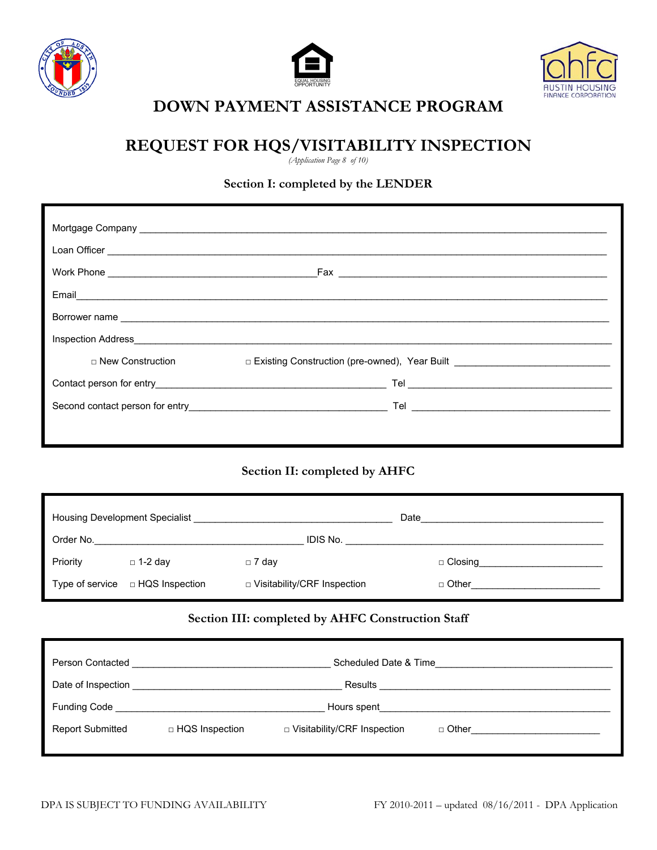





# **REQUEST FOR HQS/VISITABILITY INSPECTION**

*(Application Page 8 of 10)*

#### **Section I: completed by the LENDER**

| $\Box$ New Construction | □ Existing Construction (pre-owned), Year Built <u>_______________________________</u> |
|-------------------------|----------------------------------------------------------------------------------------|
|                         |                                                                                        |
|                         |                                                                                        |
|                         |                                                                                        |

#### **Section II: completed by AHFC**

|          | Housing Development Specialist<br><u>Francisco</u> Constanting Constanting Constanting Constanting Constanting Constanting Constanting Constanting Constanting Constanting Constanting Constanting Constanting Constanting Constantin |                               | Date                              |
|----------|---------------------------------------------------------------------------------------------------------------------------------------------------------------------------------------------------------------------------------------|-------------------------------|-----------------------------------|
|          |                                                                                                                                                                                                                                       |                               |                                   |
| Priority | $\Box$ 1-2 day                                                                                                                                                                                                                        | $\Box$ 7 day                  | □ Closing________________________ |
|          | Type of service $\Box$ HQS Inspection                                                                                                                                                                                                 | D Visitability/CRF Inspection | $\Box$ Other $\Box$               |

#### **Section III: completed by AHFC Construction Staff**

| Person Contacted        |                  | Scheduled Date & Time         |                                                    |
|-------------------------|------------------|-------------------------------|----------------------------------------------------|
| Date of Inspection      |                  |                               | Results <b>Execute Security Executive Security</b> |
| Funding Code            |                  | Hours spent                   |                                                    |
| <b>Report Submitted</b> | □ HQS Inspection | □ Visitability/CRF Inspection | $\Box$ Other $\Box$                                |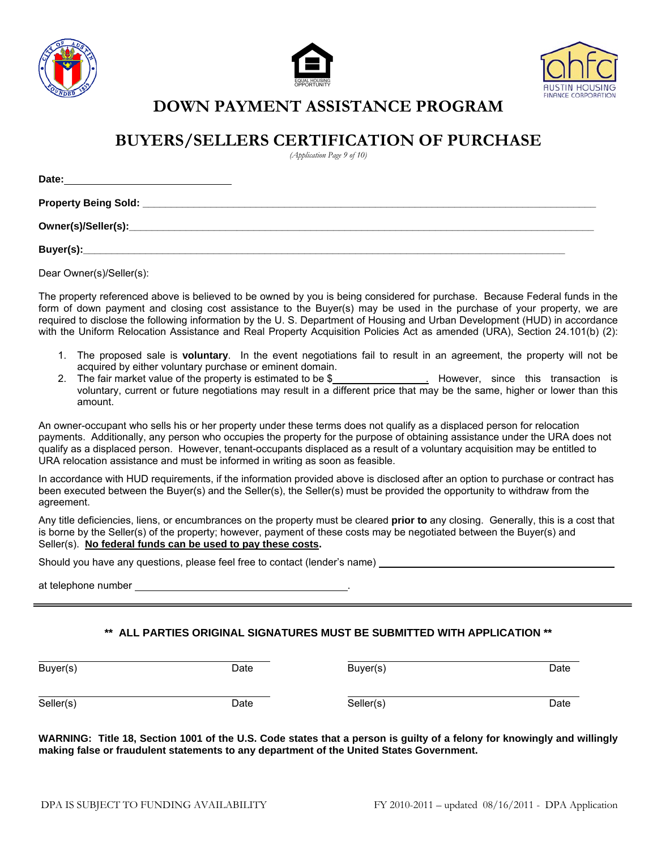





## **BUYERS/SELLERS CERTIFICATION OF PURCHASE**

*(Application Page 9 of 10)*

| Date:<br><u> 1989 - Johann John Stone, meil in der Stone aus der Stone aus der Stone aus der Stone aus der Stone aus der S</u> |  |  |
|--------------------------------------------------------------------------------------------------------------------------------|--|--|
| <b>Property Being Sold:</b>                                                                                                    |  |  |
|                                                                                                                                |  |  |
| Buyer(s):                                                                                                                      |  |  |

Dear Owner(s)/Seller(s):

The property referenced above is believed to be owned by you is being considered for purchase. Because Federal funds in the form of down payment and closing cost assistance to the Buyer(s) may be used in the purchase of your property, we are required to disclose the following information by the U. S. Department of Housing and Urban Development (HUD) in accordance with the Uniform Relocation Assistance and Real Property Acquisition Policies Act as amended (URA), Section 24.101(b) (2):

- 1. The proposed sale is **voluntary**. In the event negotiations fail to result in an agreement, the property will not be acquired by either voluntary purchase or eminent domain.
- 2. The fair market value of the property is estimated to be \$ . However, since this transaction is voluntary, current or future negotiations may result in a different price that may be the same, higher or lower than this amount.

An owner-occupant who sells his or her property under these terms does not qualify as a displaced person for relocation payments. Additionally, any person who occupies the property for the purpose of obtaining assistance under the URA does not qualify as a displaced person. However, tenant-occupants displaced as a result of a voluntary acquisition may be entitled to URA relocation assistance and must be informed in writing as soon as feasible.

In accordance with HUD requirements, if the information provided above is disclosed after an option to purchase or contract has been executed between the Buyer(s) and the Seller(s), the Seller(s) must be provided the opportunity to withdraw from the agreement.

Any title deficiencies, liens, or encumbrances on the property must be cleared **prior to** any closing. Generally, this is a cost that is borne by the Seller(s) of the property; however, payment of these costs may be negotiated between the Buyer(s) and Seller(s). **No federal funds can be used to pay these costs.**

Should you have any questions, please feel free to contact (lender's name)

at telephone number

#### **\*\* ALL PARTIES ORIGINAL SIGNATURES MUST BE SUBMITTED WITH APPLICATION \*\***

| Buyer(s)  | Date | Buyer(s)  | Date |
|-----------|------|-----------|------|
| Seller(s) | Date | Seller(s) | Date |

**WARNING: Title 18, Section 1001 of the U.S. Code states that a person is guilty of a felony for knowingly and willingly making false or fraudulent statements to any department of the United States Government.**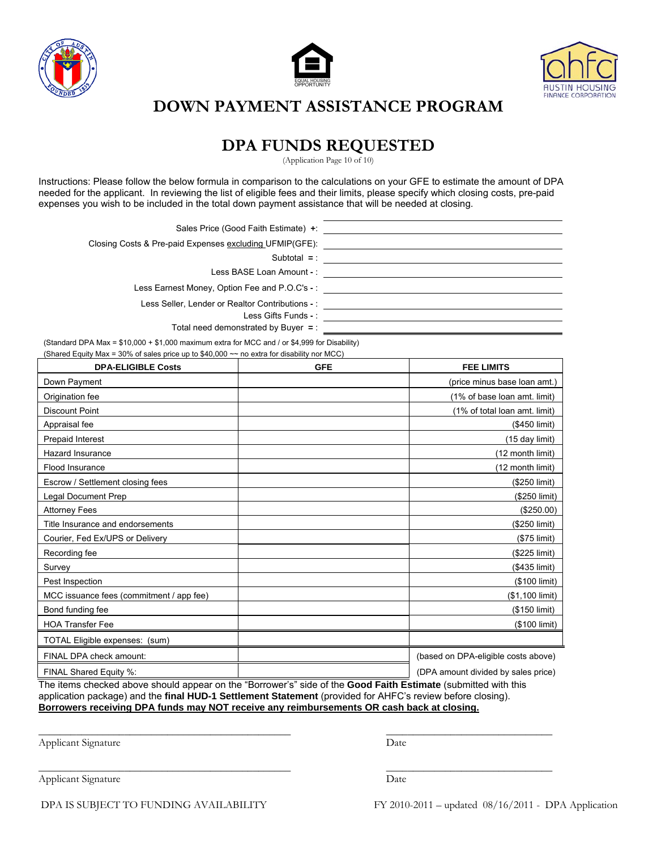





### **DPA FUNDS REQUESTED**

(Application Page 10 of 10)

Instructions: Please follow the below formula in comparison to the calculations on your GFE to estimate the amount of DPA needed for the applicant. In reviewing the list of eligible fees and their limits, please specify which closing costs, pre-paid expenses you wish to be included in the total down payment assistance that will be needed at closing.

Sales Price (Good Faith Estimate) **+**: Closing Costs & Pre-paid Expenses excluding UFMIP(GFE): Subtotal **=** : Less BASE Loan Amount **-** : Less Earnest Money, Option Fee and P.O.C's **-** : Less Seller, Lender or Realtor Contributions **-** : Less Gifts Funds **-** : Total need demonstrated by Buyer **=** : <u> 1989 - Johann Stoff, Amerikaansk politiker († 1908)</u>

(Standard DPA Max = \$10,000 + \$1,000 maximum extra for MCC and / or \$4,999 for Disability) (Shared Equity Max = 30% of sales price up to \$40,000  $\sim$  no extra for disability nor MCC)

| <b>DPA-ELIGIBLE Costs</b>                                                                                                                                                                                                    | <b>GFE</b> | <b>FEE LIMITS</b>                   |
|------------------------------------------------------------------------------------------------------------------------------------------------------------------------------------------------------------------------------|------------|-------------------------------------|
| Down Payment                                                                                                                                                                                                                 |            | (price minus base loan amt.)        |
| Origination fee                                                                                                                                                                                                              |            | (1% of base loan amt. limit)        |
| <b>Discount Point</b>                                                                                                                                                                                                        |            | (1% of total loan amt. limit)       |
| Appraisal fee                                                                                                                                                                                                                |            | (\$450 limit)                       |
| Prepaid Interest                                                                                                                                                                                                             |            | (15 day limit)                      |
| <b>Hazard Insurance</b>                                                                                                                                                                                                      |            | (12 month limit)                    |
| Flood Insurance                                                                                                                                                                                                              |            | (12 month limit)                    |
| Escrow / Settlement closing fees                                                                                                                                                                                             |            | (\$250 limit)                       |
| <b>Legal Document Prep</b>                                                                                                                                                                                                   |            | (\$250 limit)                       |
| <b>Attorney Fees</b>                                                                                                                                                                                                         |            | (\$250.00)                          |
| Title Insurance and endorsements                                                                                                                                                                                             |            | (\$250 limit)                       |
| Courier, Fed Ex/UPS or Delivery                                                                                                                                                                                              |            | $($75$ limit)                       |
| Recording fee                                                                                                                                                                                                                |            | (\$225 limit)                       |
| Survey                                                                                                                                                                                                                       |            | (\$435 limit)                       |
| Pest Inspection                                                                                                                                                                                                              |            | (\$100 limit)                       |
| MCC issuance fees (commitment / app fee)                                                                                                                                                                                     |            | (\$1,100 limit)                     |
| Bond funding fee                                                                                                                                                                                                             |            | (\$150 limit)                       |
| <b>HOA Transfer Fee</b>                                                                                                                                                                                                      |            | (\$100 limit)                       |
| TOTAL Eligible expenses: (sum)                                                                                                                                                                                               |            |                                     |
| FINAL DPA check amount:                                                                                                                                                                                                      |            | (based on DPA-eligible costs above) |
| FINAL Shared Equity %:                                                                                                                                                                                                       |            | (DPA amount divided by sales price) |
| The items checked above should appear on the "Borrower's" side of the Good Faith Estimate (submitted with this<br>contingtion nonlogen) and the final HUD 4 Pettlement Ptatement (provided for AHEC's review before elected) |            |                                     |

application package) and the **final HUD-1 Settlement Statement** (provided for AHFC's review before closing). **Borrowers receiving DPA funds may NOT receive any reimbursements OR cash back at closing.**

\_\_\_\_\_\_\_\_\_\_\_\_\_\_\_\_\_\_\_\_\_\_\_\_\_\_\_\_\_\_\_\_\_\_\_\_\_\_\_\_\_\_\_\_\_\_\_ \_\_\_\_\_\_\_\_\_\_\_\_\_\_\_\_\_\_\_\_\_\_\_\_\_\_\_\_\_\_\_

Applicant Signature Date

Applicant Signature Date

\_\_\_\_\_\_\_\_\_\_\_\_\_\_\_\_\_\_\_\_\_\_\_\_\_\_\_\_\_\_\_\_\_\_\_\_\_\_\_\_\_\_\_\_\_\_\_ \_\_\_\_\_\_\_\_\_\_\_\_\_\_\_\_\_\_\_\_\_\_\_\_\_\_\_\_\_\_\_

DPA IS SUBJECT TO FUNDING AVAILABILITY FY 2010-2011 – updated 08/16/2011 - DPA Application